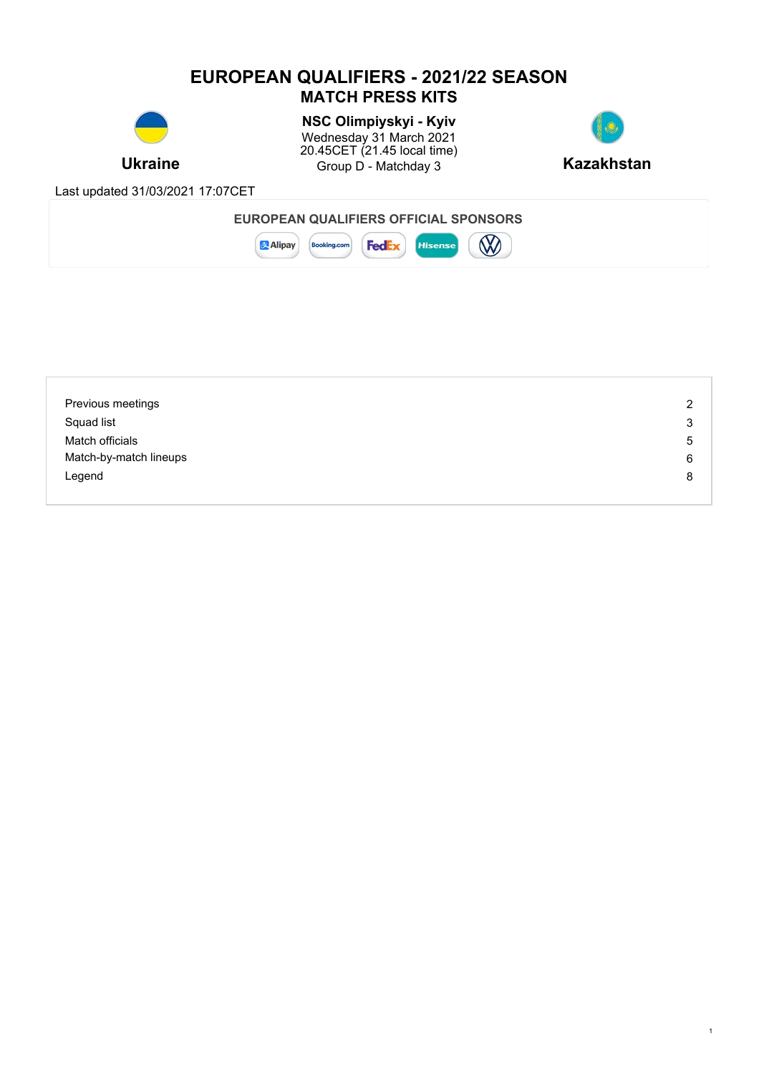# **EUROPEAN QUALIFIERS - 2021/22 SEASON MATCH PRESS KITS**



**Ukraine Example 3** Group D - Matchday 3 **Kazakhstan NSC Olimpiyskyi - Kyiv** Wednesday 31 March 2021 20.45CET (21.45 local time)



1

Last updated 31/03/2021 17:07CET

| EUROPEAN QUALIFIERS OFFICIAL SPONSORS                                           |  |
|---------------------------------------------------------------------------------|--|
| <b>B</b><br><b>Fed</b><br><b>Alipay</b><br><b>Booking.com</b><br><b>Hisense</b> |  |

| Previous meetings      | 2 |
|------------------------|---|
| Squad list             | 3 |
| Match officials        | 5 |
| Match-by-match lineups | 6 |
| Legend                 | 8 |
|                        |   |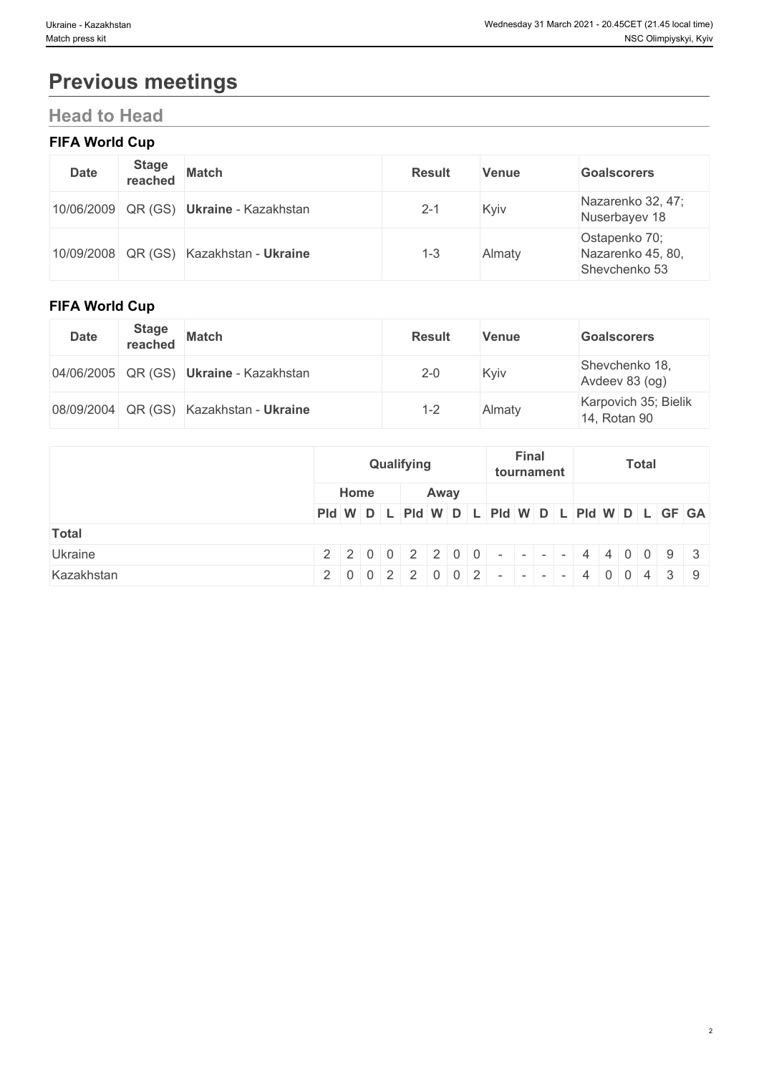# **Previous meetings**

# **Head to Head**

## **FIFA World Cup**

| <b>Date</b> | <b>Stage</b> | reached Match                           | <b>Result</b> | <b>Venue</b> | <b>Goalscorers</b>                                  |
|-------------|--------------|-----------------------------------------|---------------|--------------|-----------------------------------------------------|
|             |              | 10/06/2009 QR (GS) Ukraine - Kazakhstan | $2 - 1$       | Kyiv         | Nazarenko 32, 47;<br>Nuserbayev 18                  |
|             |              | 10/09/2008 QR (GS) Kazakhstan - Ukraine | $1 - 3$       | Almaty       | Ostapenko 70;<br>Nazarenko 45, 80,<br>Shevchenko 53 |

## **FIFA World Cup**

| <b>Date</b> | <b>Stage</b> | reached Match                           | <b>Result</b> | <b>Venue</b> | <b>Goalscorers</b>                   |
|-------------|--------------|-----------------------------------------|---------------|--------------|--------------------------------------|
|             |              | 04/06/2005 QR (GS) Ukraine - Kazakhstan | $2 - 0$       | Kyiv         | Shevchenko 18,<br>Avdeev 83 (og)     |
|             |              | 08/09/2004 QR (GS) Kazakhstan - Ukraine | $1 - 2$       | Almaty       | Karpovich 35; Bielik<br>14, Rotan 90 |

|              | Qualifying   | Final<br><b>Total</b><br>tournament                                     |
|--------------|--------------|-------------------------------------------------------------------------|
|              | Home<br>Away |                                                                         |
|              |              | PId W D L PId W D L PId W D L PId W D L PId W D L GF GA                 |
| <b>Total</b> |              |                                                                         |
| Ukraine      |              | $2$   2   0   0   2   2   0   0   -   -   -   -   4   4   0   0   9   3 |
| Kazakhstan   |              | $2   0   0   2   2   0   0   2   -   -   -   -   4   0   0   4   3   9$ |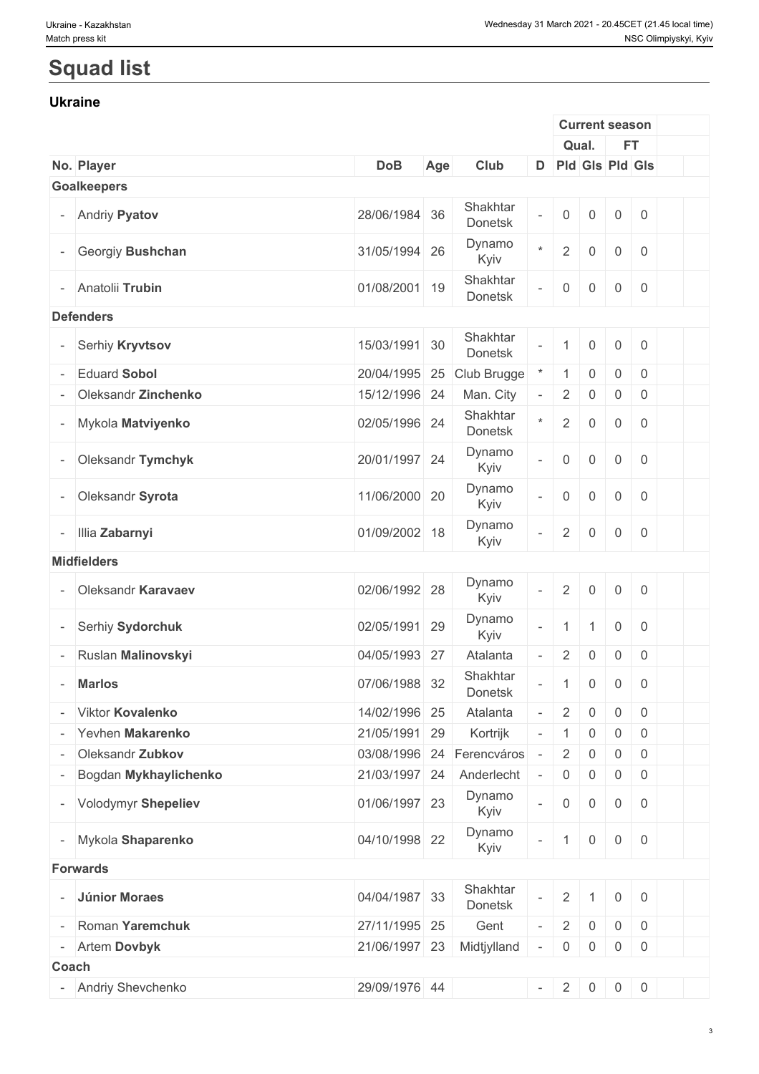# **Squad list**

#### **Ukraine**

|                          |                         |               |     |                     |                          |                     | <b>Current season</b> |                     |                |  |
|--------------------------|-------------------------|---------------|-----|---------------------|--------------------------|---------------------|-----------------------|---------------------|----------------|--|
|                          |                         |               |     |                     |                          |                     | Qual.                 | FT.                 |                |  |
|                          | No. Player              | <b>DoB</b>    | Age | Club                |                          | D Pld Gls Pld Gls   |                       |                     |                |  |
|                          | <b>Goalkeepers</b>      |               |     |                     |                          |                     |                       |                     |                |  |
|                          | <b>Andriy Pyatov</b>    | 28/06/1984 36 |     | Shakhtar<br>Donetsk | $\equiv$                 | $\mathsf{O}\xspace$ | 0                     | $\overline{0}$      | $\overline{0}$ |  |
|                          | Georgiy Bushchan        | 31/05/1994 26 |     | Dynamo<br>Kyiv      | $\star$                  | $\overline{2}$      | $\mathsf{O}\xspace$   | $\mathbf 0$         | $\overline{0}$ |  |
|                          | Anatolii Trubin         | 01/08/2001 19 |     | Shakhtar<br>Donetsk | $\bar{a}$                | $\mathsf{O}\xspace$ | $\mathsf{O}\xspace$   | $\overline{0}$      | $\overline{0}$ |  |
|                          | <b>Defenders</b>        |               |     |                     |                          |                     |                       |                     |                |  |
|                          | Serhiy Kryvtsov         | 15/03/1991 30 |     | Shakhtar<br>Donetsk | $\equiv$                 |                     | $\mathsf{O}\xspace$   | $\mathsf{O}$        | $\mathbf 0$    |  |
|                          | <b>Eduard Sobol</b>     | 20/04/1995    | 25  | Club Brugge         |                          |                     | 0                     | $\mathbf 0$         | $\overline{0}$ |  |
|                          | Oleksandr Zinchenko     | 15/12/1996 24 |     | Man. City           | $\overline{\phantom{a}}$ | $\sqrt{2}$          | 0                     | $\boldsymbol{0}$    | $\overline{0}$ |  |
|                          | Mykola Matviyenko       | 02/05/1996 24 |     | Shakhtar<br>Donetsk | $\star$                  | $\sqrt{2}$          | $\boldsymbol{0}$      | $\mathbf 0$         | $\overline{0}$ |  |
|                          | Oleksandr Tymchyk       | 20/01/1997 24 |     | Dynamo<br>Kyiv      | $\bar{\phantom{a}}$      | $\mathsf{O}\xspace$ | $\mathsf{O}\xspace$   | $\mathsf{O}\xspace$ | $\overline{0}$ |  |
|                          | Oleksandr Syrota        | 11/06/2000 20 |     | Dynamo<br>Kyiv      | $\bar{a}$                | $\mathsf{O}\xspace$ | $\mathbf 0$           | $\mathbf 0$         | $\overline{0}$ |  |
|                          | - Illia Zabarnyi        | 01/09/2002 18 |     | Dynamo<br>Kyiv      | $\overline{\phantom{a}}$ | $\sqrt{2}$          | $\mathsf{O}\xspace$   | $\mathbf 0$         | $\overline{0}$ |  |
|                          | <b>Midfielders</b>      |               |     |                     |                          |                     |                       |                     |                |  |
|                          | Oleksandr Karavaev      | 02/06/1992 28 |     | Dynamo<br>Kyiv      | $\mathbb{Z}^2$           | $\sqrt{2}$          | $\mathsf{O}\xspace$   | $\mathbf 0$         | $\overline{0}$ |  |
| $\overline{\phantom{a}}$ | Serhiy Sydorchuk        | 02/05/1991    | 29  | Dynamo<br>Kyiv      | $\bar{\phantom{a}}$      | $\mathbf{1}$        | $\mathbf{1}$          | $\overline{0}$      | $\overline{0}$ |  |
|                          | Ruslan Malinovskyi      | 04/05/1993    | 27  | Atalanta            | $\bar{\phantom{a}}$      | $\sqrt{2}$          | $\mathsf{O}\xspace$   | $\mathsf{O}\xspace$ | $\overline{0}$ |  |
|                          | <b>Marlos</b>           | 07/06/1988    | 32  | Shakhtar<br>Donetsk | $\overline{\phantom{a}}$ | $\mathbf 1$         | $\boldsymbol{0}$      | $\overline{0}$      | $\overline{0}$ |  |
|                          | <b>Viktor Kovalenko</b> | 14/02/1996 25 |     | Atalanta            | $\equiv$                 | $\overline{2}$      | $\boldsymbol{0}$      | $\mathbf 0$         | $\overline{0}$ |  |
|                          | Yevhen Makarenko        | 21/05/1991    | 29  | Kortrijk            |                          | 1                   | 0                     | 0                   | $\overline{0}$ |  |
|                          | Oleksandr Zubkov        | 03/08/1996    | 24  | Ferencváros         |                          | $\overline{2}$      | 0                     | $\boldsymbol{0}$    | $\overline{0}$ |  |
|                          | Bogdan Mykhaylichenko   | 21/03/1997 24 |     | Anderlecht          |                          | $\overline{0}$      | 0                     | $\boldsymbol{0}$    | $\overline{0}$ |  |
|                          | - Volodymyr Shepeliev   | 01/06/1997 23 |     | Dynamo<br>Kyiv      | $\equiv$                 | $\mathsf{O}\xspace$ | $\boldsymbol{0}$      | $\overline{0}$      | $\overline{0}$ |  |
|                          | Mykola Shaparenko       | 04/10/1998 22 |     | Dynamo<br>Kyiv      | $\overline{\phantom{a}}$ | $\mathbf 1$         | $\mathsf{0}$          | $\overline{0}$      | $\overline{0}$ |  |
|                          | <b>Forwards</b>         |               |     |                     |                          |                     |                       |                     |                |  |
|                          | Júnior Moraes           | 04/04/1987 33 |     | Shakhtar<br>Donetsk | $\overline{\phantom{a}}$ | $\sqrt{2}$          | -1                    | $\overline{0}$      | $\overline{0}$ |  |
|                          | Roman Yaremchuk         | 27/11/1995 25 |     | Gent                | $\overline{\phantom{a}}$ | $\overline{2}$      | $\mathsf{O}$          | $\overline{0}$      | $\overline{0}$ |  |
| $\overline{\phantom{a}}$ | Artem Dovbyk            | 21/06/1997 23 |     | Midtjylland         | $\overline{\phantom{a}}$ | $\overline{0}$      | $\overline{0}$        | $\overline{0}$      | $\overline{0}$ |  |
| Coach                    |                         |               |     |                     |                          |                     |                       |                     |                |  |
|                          | Andriy Shevchenko       | 29/09/1976 44 |     |                     | $\sim$                   | $\overline{2}$      | $\overline{0}$        | $\overline{0}$      | $\overline{0}$ |  |
|                          |                         |               |     |                     |                          |                     |                       |                     |                |  |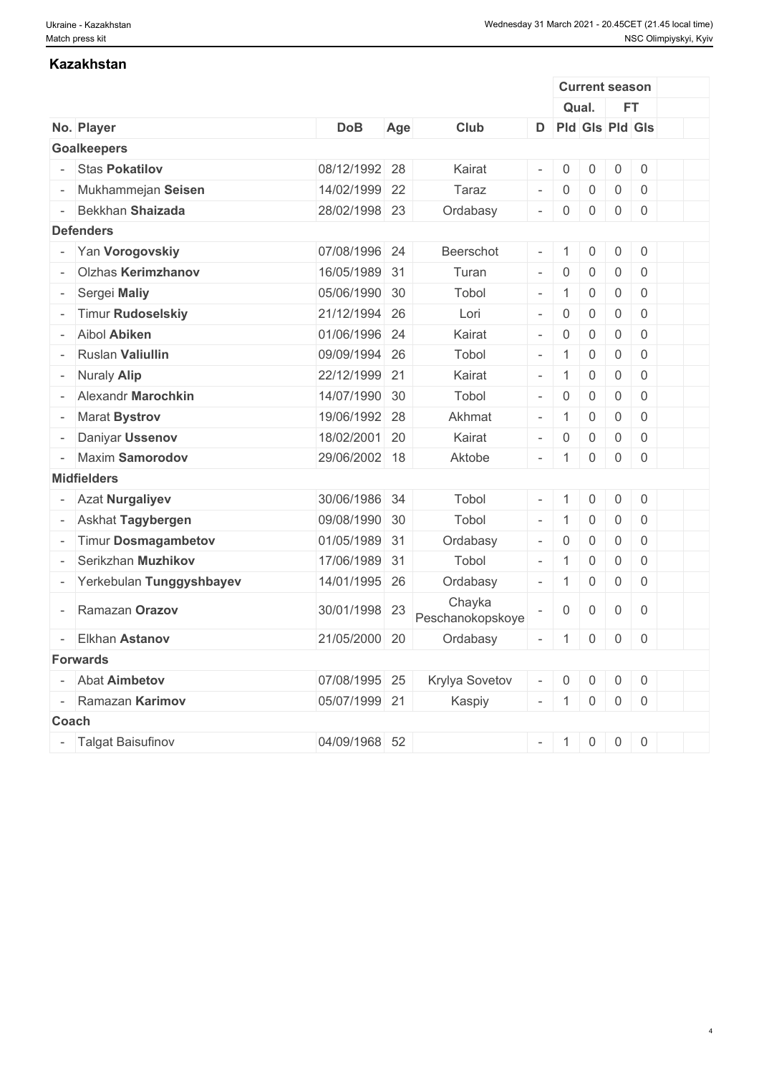| <b>Kazakhstan</b>        |               |     |                            |                          |                |                       |                |            |                |  |
|--------------------------|---------------|-----|----------------------------|--------------------------|----------------|-----------------------|----------------|------------|----------------|--|
|                          |               |     |                            |                          |                | <b>Current season</b> |                |            |                |  |
|                          |               |     |                            |                          |                | Qual.                 |                | <b>FT</b>  |                |  |
| No. Player               | <b>DoB</b>    | Age | Club                       |                          |                | D Pld Gls Pld Gls     |                |            |                |  |
| <b>Goalkeepers</b>       |               |     |                            |                          |                |                       |                |            |                |  |
| <b>Stas Pokatilov</b>    | 08/12/1992 28 |     | Kairat                     | $\overline{\phantom{a}}$ | $\overline{0}$ | $\mathsf{O}\xspace$   | $\mathsf 0$    |            | $\mathbf 0$    |  |
| Mukhammejan Seisen       | 14/02/1999 22 |     | Taraz                      | $\overline{\phantom{a}}$ | $\mathbf 0$    | $\mathsf{O}\xspace$   | $\mathbf 0$    |            | $\mathbf 0$    |  |
| Bekkhan Shaizada         | 28/02/1998 23 |     | Ordabasy                   | $\overline{\phantom{a}}$ | $\overline{0}$ | $\mathsf{0}$          | $\mathsf{O}$   |            | $\mathbf 0$    |  |
| <b>Defenders</b>         |               |     |                            |                          |                |                       |                |            |                |  |
| Yan Vorogovskiy          | 07/08/1996 24 |     | Beerschot                  | $\overline{\phantom{a}}$ | $\overline{1}$ | $\boldsymbol{0}$      | $\mathsf{O}$   |            | $\mathbf 0$    |  |
| Olzhas Kerimzhanov       | 16/05/1989 31 |     | Turan                      | $\sim$                   | $\overline{0}$ | $\mathbb O$           | $\overline{0}$ |            | $\mathbf 0$    |  |
| Sergei Maliy             | 05/06/1990 30 |     | Tobol                      | $\sim$                   | $\overline{1}$ | $\boldsymbol{0}$      | $\mathbf 0$    |            | $\mathbf 0$    |  |
| <b>Timur Rudoselskiy</b> | 21/12/1994 26 |     | Lori                       | $\overline{\phantom{a}}$ | $\mathbf 0$    | $\mathsf 0$           | $\mathbf 0$    |            | $\mathbf 0$    |  |
| - Aibol Abiken           | 01/06/1996 24 |     | Kairat                     | $\sim$                   | $\overline{0}$ | $\mathsf{O}$          | $\mathbf 0$    |            | $\mathbf 0$    |  |
| <b>Ruslan Valiullin</b>  | 09/09/1994 26 |     | Tobol                      | $\sim$                   | $\overline{1}$ | $\mathsf{0}$          | $\mathbf 0$    |            | $\mathbf 0$    |  |
| Nuraly Alip              | 22/12/1999 21 |     | Kairat                     | $\overline{\phantom{a}}$ | $\overline{1}$ | $\mathsf{O}\xspace$   | $\mathsf{O}$   |            | $\mathbf 0$    |  |
| Alexandr Marochkin       | 14/07/1990 30 |     | Tobol                      | $\sim$                   | $\mathbf 0$    | $\overline{0}$        | $\overline{0}$ |            | $\overline{0}$ |  |
| <b>Marat Bystrov</b>     | 19/06/1992 28 |     | Akhmat                     | $\overline{\phantom{a}}$ | $\overline{1}$ | $\mathsf 0$           | $\overline{0}$ |            | $\overline{0}$ |  |
| Daniyar Ussenov          | 18/02/2001 20 |     | Kairat                     | $\overline{\phantom{a}}$ | $\overline{0}$ | $\mathsf{0}$          | $\overline{0}$ |            | $\mathbf 0$    |  |
| <b>Maxim Samorodov</b>   | 29/06/2002 18 |     | Aktobe                     | $\overline{\phantom{a}}$ | $\overline{1}$ | $\boldsymbol{0}$      | 0              |            | $\mathbf 0$    |  |
| <b>Midfielders</b>       |               |     |                            |                          |                |                       |                |            |                |  |
| - Azat Nurgaliyev        | 30/06/1986 34 |     | Tobol                      | $\sim$                   | -1             | $\boldsymbol{0}$      | $\overline{0}$ |            | $\overline{0}$ |  |
| Askhat Tagybergen        | 09/08/1990 30 |     | Tobol                      | $\overline{\phantom{a}}$ | $\overline{1}$ | $\mathsf{O}\xspace$   | $\mathbf 0$    |            | $\mathbf 0$    |  |
| Timur Dosmagambetov      | 01/05/1989 31 |     | Ordabasy                   | $\overline{\phantom{a}}$ | $\overline{0}$ | $\mathsf{O}$          | $\mathsf{O}$   |            | $\overline{0}$ |  |
| Serikzhan Muzhikov       | 17/06/1989 31 |     | Tobol                      | $\sim$                   | $\overline{1}$ | $\mathsf{O}\xspace$   | $\mathbf 0$    |            | $\mathbf 0$    |  |
| Yerkebulan Tunggyshbayev | 14/01/1995 26 |     | Ordabasy                   | $\overline{\phantom{a}}$ | $\overline{1}$ | $\mathsf{0}$          | $\mathbf 0$    |            | $\mathbf 0$    |  |
| Ramazan Orazov           | 30/01/1998 23 |     | Chayka<br>Peschanokopskoye |                          | $\overline{0}$ | 0                     | $\mathbf 0$    |            | $\overline{0}$ |  |
| <b>Elkhan Astanov</b>    | 21/05/2000 20 |     | Ordabasy                   |                          |                | $-$ 1000              |                |            |                |  |
| <b>Forwards</b>          |               |     |                            |                          |                |                       |                |            |                |  |
| <b>Abat Aimbetov</b>     | 07/08/1995 25 |     | Krylya Sovetov             | $\overline{\phantom{a}}$ | $\overline{0}$ | $\overline{0}$        | $\overline{0}$ |            | $\overline{0}$ |  |
| - Ramazan Karimov        | 05/07/1999 21 |     | Kaspiy                     |                          | $-$ 1          | $\overline{0}$        |                | $0 \mid 0$ |                |  |
| Coach                    |               |     |                            |                          |                |                       |                |            |                |  |
| - Talgat Baisufinov      | 04/09/1968 52 |     |                            |                          |                | $-$ 1 0 0 0           |                |            |                |  |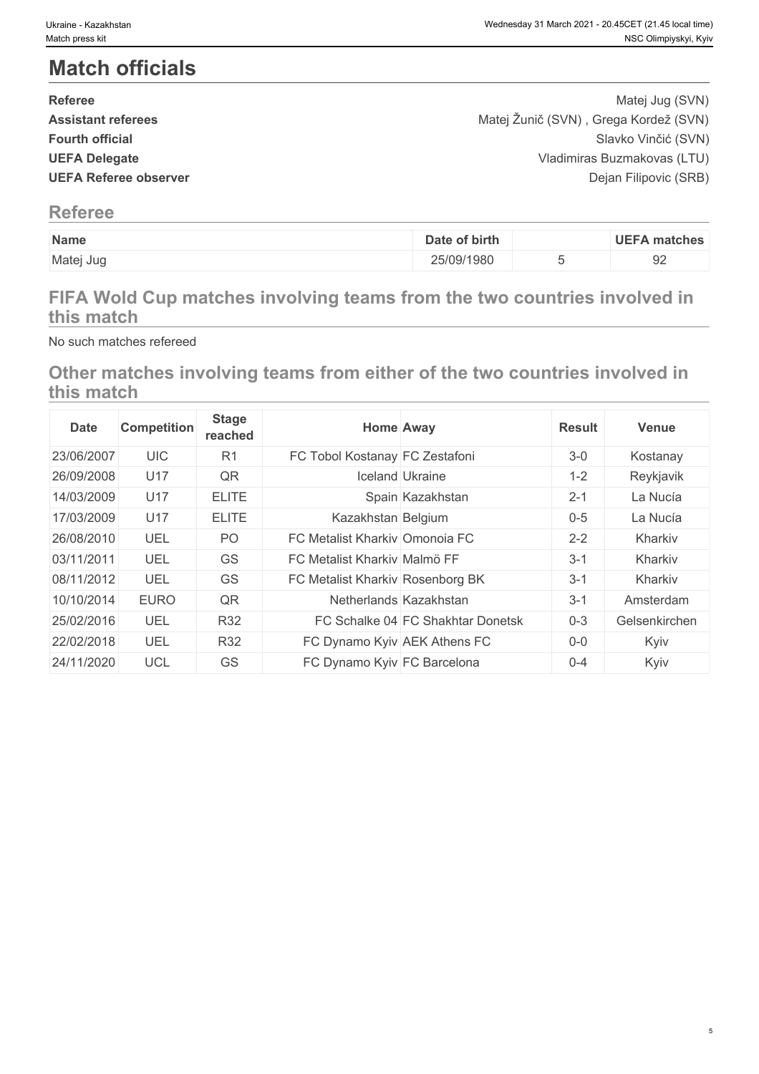# **Match officials**

| <b>Referee</b>               | Matej Jug (SVN)                       |  |
|------------------------------|---------------------------------------|--|
| <b>Assistant referees</b>    | Matej Žunič (SVN), Grega Kordež (SVN) |  |
| <b>Fourth official</b>       | Slavko Vinčić (SVN)                   |  |
| <b>UEFA Delegate</b>         | Vladimiras Buzmakovas (LTU)           |  |
| <b>UEFA Referee observer</b> | Dejan Filipovic (SRB)                 |  |
|                              |                                       |  |

### **Referee**

| Name      | Date of birth | <b>UEFA matches</b> |
|-----------|---------------|---------------------|
| Matej Jug | 25/09/1980    | $\cap$<br>◡▵        |

# **FIFA Wold Cup matches involving teams from the two countries involved in this match**

No such matches refereed

# **Other matches involving teams from either of the two countries involved in this match**

| <b>Date</b> | <b>Competition</b> | <b>Stage</b><br>reached | <b>Home Away</b>                 |                                   | <b>Result</b> | <b>Venue</b>  |
|-------------|--------------------|-------------------------|----------------------------------|-----------------------------------|---------------|---------------|
| 23/06/2007  | <b>UIC</b>         | R <sub>1</sub>          | FC Tobol Kostanay FC Zestafoni   |                                   | $3 - 0$       | Kostanay      |
| 26/09/2008  | U17                | QR                      |                                  | <b>Iceland Ukraine</b>            | $1 - 2$       | Reykjavik     |
| 14/03/2009  | <b>U17</b>         | <b>ELITE</b>            |                                  | Spain Kazakhstan                  | $2 - 1$       | La Nucía      |
| 17/03/2009  | U17                | <b>ELITE</b>            | Kazakhstan Belgium               |                                   | $0 - 5$       | La Nucía      |
| 26/08/2010  | UEL                | PO                      | FC Metalist Kharkiv Omonoia FC   |                                   | $2 - 2$       | Kharkiv       |
| 03/11/2011  | UEL                | GS                      | FC Metalist Kharkiv Malmö FF     |                                   | $3 - 1$       | Kharkiv       |
| 08/11/2012  | UEL                | GS                      | FC Metalist Kharkiv Rosenborg BK |                                   | $3 - 1$       | Kharkiv       |
| 10/10/2014  | <b>EURO</b>        | QR                      | Netherlands Kazakhstan           |                                   | $3 - 1$       | Amsterdam     |
| 25/02/2016  | UEL                | <b>R32</b>              |                                  | FC Schalke 04 FC Shakhtar Donetsk | $0 - 3$       | Gelsenkirchen |
| 22/02/2018  | UEL                | R32                     | FC Dynamo Kyiv AEK Athens FC     |                                   | $0-0$         | Kyiv          |
| 24/11/2020  | <b>UCL</b>         | GS                      | FC Dynamo Kyiv FC Barcelona      |                                   | $0 - 4$       | Kyiv          |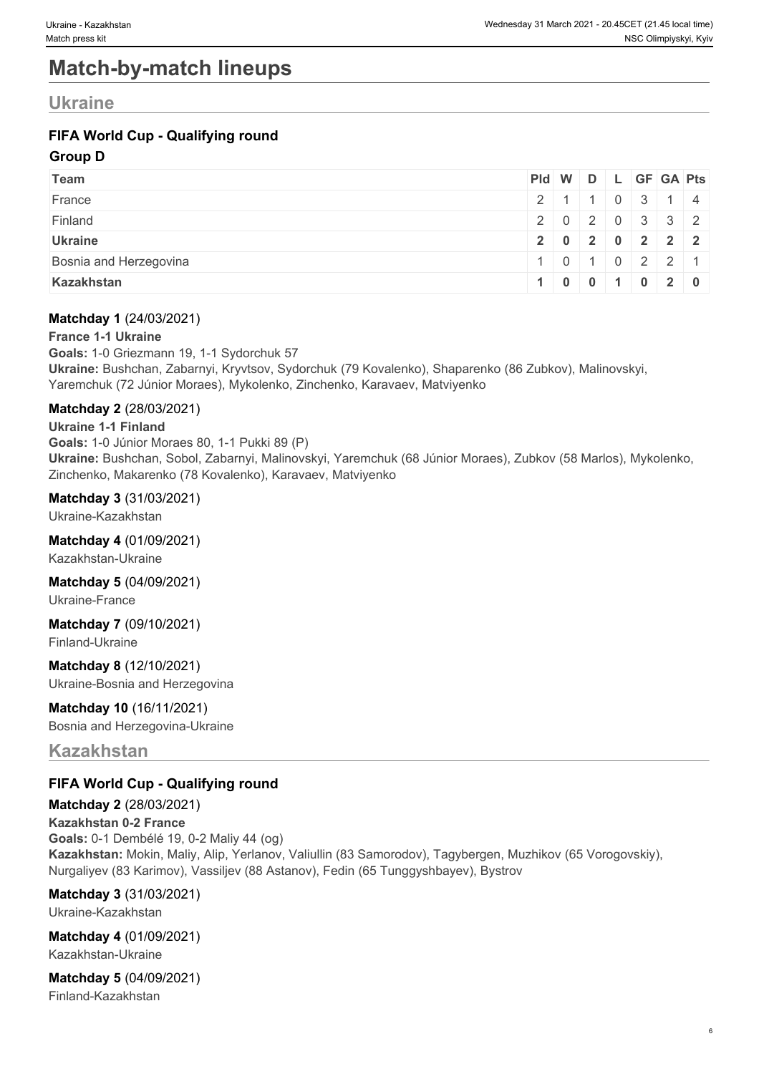# **Match-by-match lineups**

# **Ukraine**

### **FIFA World Cup - Qualifying round**

#### **Group D**

| <b>Team</b>            |  |  | Pid W D L GF GA Pts |                           |
|------------------------|--|--|---------------------|---------------------------|
| France                 |  |  |                     | 2 1 1 0 3 1 4             |
| Finland                |  |  |                     | 2020332                   |
| <b>Ukraine</b>         |  |  |                     | 2 0 2 0 2 2 2             |
| Bosnia and Herzegovina |  |  |                     | 1   0   1   0   2   2   1 |
| Kazakhstan             |  |  | 100101020           |                           |

#### **Matchday 1** (24/03/2021)

#### **France 1-1 Ukraine**

**Goals:** 1-0 Griezmann 19, 1-1 Sydorchuk 57 **Ukraine:** Bushchan, Zabarnyi, Kryvtsov, Sydorchuk (79 Kovalenko), Shaparenko (86 Zubkov), Malinovskyi, Yaremchuk (72 Júnior Moraes), Mykolenko, Zinchenko, Karavaev, Matviyenko

#### **Matchday 2** (28/03/2021)

**Ukraine 1-1 Finland Goals:** 1-0 Júnior Moraes 80, 1-1 Pukki 89 (P) **Ukraine:** Bushchan, Sobol, Zabarnyi, Malinovskyi, Yaremchuk (68 Júnior Moraes), Zubkov (58 Marlos), Mykolenko, Zinchenko, Makarenko (78 Kovalenko), Karavaev, Matviyenko

#### **Matchday 3** (31/03/2021)

Ukraine-Kazakhstan

#### **Matchday 4** (01/09/2021)

Kazakhstan-Ukraine

#### **Matchday 5** (04/09/2021)

Ukraine-France

**Matchday 7** (09/10/2021) Finland-Ukraine

**Matchday 8** (12/10/2021) Ukraine-Bosnia and Herzegovina

### **Matchday 10** (16/11/2021)

Bosnia and Herzegovina-Ukraine

### **Kazakhstan**

#### **FIFA World Cup - Qualifying round**

**Matchday 2** (28/03/2021) **Kazakhstan 0-2 France Goals:** 0-1 Dembélé 19, 0-2 Maliy 44 (og) **Kazakhstan:** Mokin, Maliy, Alip, Yerlanov, Valiullin (83 Samorodov), Tagybergen, Muzhikov (65 Vorogovskiy), Nurgaliyev (83 Karimov), Vassiljev (88 Astanov), Fedin (65 Tunggyshbayev), Bystrov

### **Matchday 3** (31/03/2021)

Ukraine-Kazakhstan

#### **Matchday 4** (01/09/2021) Kazakhstan-Ukraine

**Matchday 5** (04/09/2021) Finland-Kazakhstan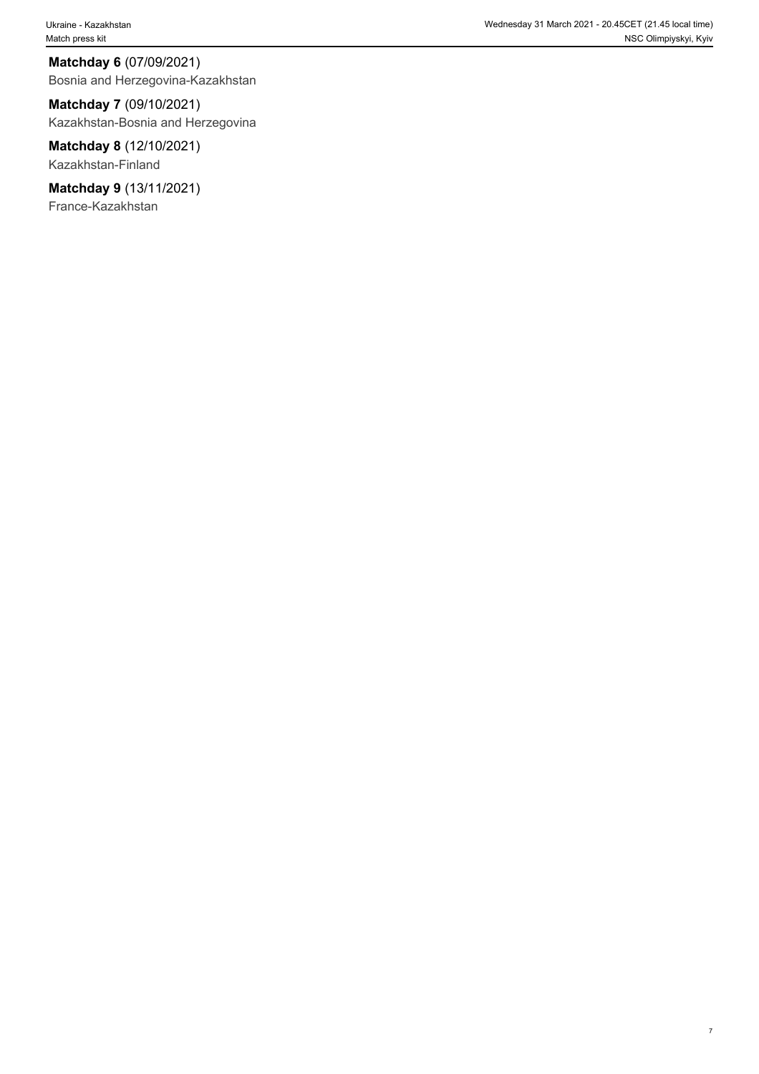**Matchday 6** (07/09/2021) Bosnia and Herzegovina-Kazakhstan

**Matchday 7** (09/10/2021) Kazakhstan-Bosnia and Herzegovina

**Matchday 8** (12/10/2021) Kazakhstan-Finland

**Matchday 9** (13/11/2021) France-Kazakhstan